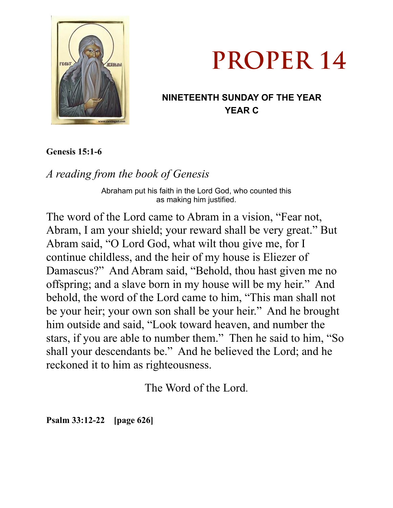



## **NINETEENTH SUNDAY OF THE YEAR YEAR C**

**Genesis 15:1-6** 

*A reading from the book of Genesis* 

Abraham put his faith in the Lord God, who counted this as making him justified.

The word of the Lord came to Abram in a vision, "Fear not, Abram, I am your shield; your reward shall be very great." But Abram said, "O Lord God, what wilt thou give me, for I continue childless, and the heir of my house is Eliezer of Damascus?" And Abram said, "Behold, thou hast given me no offspring; and a slave born in my house will be my heir." And behold, the word of the Lord came to him, "This man shall not be your heir; your own son shall be your heir." And he brought him outside and said, "Look toward heaven, and number the stars, if you are able to number them." Then he said to him, "So shall your descendants be." And he believed the Lord; and he reckoned it to him as righteousness.

The Word of the Lord.

**Psalm 33:12-22 [page 626]**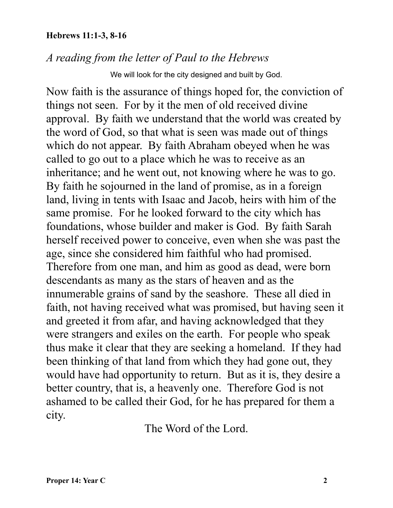## **Hebrews 11:1-3, 8-16**

## *A reading from the letter of Paul to the Hebrews*

We will look for the city designed and built by God.

Now faith is the assurance of things hoped for, the conviction of things not seen. For by it the men of old received divine approval. By faith we understand that the world was created by the word of God, so that what is seen was made out of things which do not appear. By faith Abraham obeyed when he was called to go out to a place which he was to receive as an inheritance; and he went out, not knowing where he was to go. By faith he sojourned in the land of promise, as in a foreign land, living in tents with Isaac and Jacob, heirs with him of the same promise. For he looked forward to the city which has foundations, whose builder and maker is God. By faith Sarah herself received power to conceive, even when she was past the age, since she considered him faithful who had promised. Therefore from one man, and him as good as dead, were born descendants as many as the stars of heaven and as the innumerable grains of sand by the seashore. These all died in faith, not having received what was promised, but having seen it and greeted it from afar, and having acknowledged that they were strangers and exiles on the earth. For people who speak thus make it clear that they are seeking a homeland. If they had been thinking of that land from which they had gone out, they would have had opportunity to return. But as it is, they desire a better country, that is, a heavenly one. Therefore God is not ashamed to be called their God, for he has prepared for them a city.

The Word of the Lord.